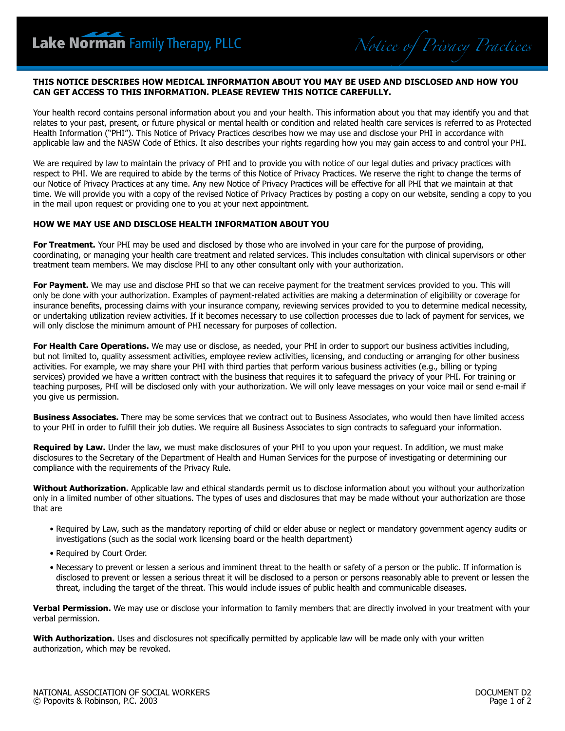### **THIS NOTICE DESCRIBES HOW MEDICAL INFORMATION ABOUT YOU MAY BE USED AND DISCLOSED AND HOW YOU CAN GET ACCESS TO THIS INFORMATION. PLEASE REVIEW THIS NOTICE CAREFULLY.**

*Notice of Privacy Practices*

Your health record contains personal information about you and your health. This information about you that may identify you and that relates to your past, present, or future physical or mental health or condition and related health care services is referred to as Protected Health Information ("PHI"). This Notice of Privacy Practices describes how we may use and disclose your PHI in accordance with applicable law and the NASW Code of Ethics. It also describes your rights regarding how you may gain access to and control your PHI.

We are required by law to maintain the privacy of PHI and to provide you with notice of our legal duties and privacy practices with respect to PHI. We are required to abide by the terms of this Notice of Privacy Practices. We reserve the right to change the terms of our Notice of Privacy Practices at any time. Any new Notice of Privacy Practices will be effective for all PHI that we maintain at that time. We will provide you with a copy of the revised Notice of Privacy Practices by posting a copy on our website, sending a copy to you in the mail upon request or providing one to you at your next appointment.

# **HOW WE MAY USE AND DISCLOSE HEALTH INFORMATION ABOUT YOU**

**For Treatment.** Your PHI may be used and disclosed by those who are involved in your care for the purpose of providing, coordinating, or managing your health care treatment and related services. This includes consultation with clinical supervisors or other treatment team members. We may disclose PHI to any other consultant only with your authorization.

**For Payment.** We may use and disclose PHI so that we can receive payment for the treatment services provided to you. This will only be done with your authorization. Examples of payment-related activities are making a determination of eligibility or coverage for insurance benefits, processing claims with your insurance company, reviewing services provided to you to determine medical necessity, or undertaking utilization review activities. If it becomes necessary to use collection processes due to lack of payment for services, we will only disclose the minimum amount of PHI necessary for purposes of collection.

**For Health Care Operations.** We may use or disclose, as needed, your PHI in order to support our business activities including, but not limited to, quality assessment activities, employee review activities, licensing, and conducting or arranging for other business activities. For example, we may share your PHI with third parties that perform various business activities (e.g., billing or typing services) provided we have a written contract with the business that requires it to safeguard the privacy of your PHI. For training or teaching purposes, PHI will be disclosed only with your authorization. We will only leave messages on your voice mail or send e-mail if you give us permission.

**Business Associates.** There may be some services that we contract out to Business Associates, who would then have limited access to your PHI in order to fulfill their job duties. We require all Business Associates to sign contracts to safeguard your information.

**Required by Law.** Under the law, we must make disclosures of your PHI to you upon your request. In addition, we must make disclosures to the Secretary of the Department of Health and Human Services for the purpose of investigating or determining our compliance with the requirements of the Privacy Rule.

**Without Authorization.** Applicable law and ethical standards permit us to disclose information about you without your authorization only in a limited number of other situations. The types of uses and disclosures that may be made without your authorization are those that are

- Required by Law, such as the mandatory reporting of child or elder abuse or neglect or mandatory government agency audits or investigations (such as the social work licensing board or the health department)
- Required by Court Order.
- Necessary to prevent or lessen a serious and imminent threat to the health or safety of a person or the public. If information is disclosed to prevent or lessen a serious threat it will be disclosed to a person or persons reasonably able to prevent or lessen the threat, including the target of the threat. This would include issues of public health and communicable diseases.

**Verbal Permission.** We may use or disclose your information to family members that are directly involved in your treatment with your verbal permission.

**With Authorization.** Uses and disclosures not specifically permitted by applicable law will be made only with your written authorization, which may be revoked.